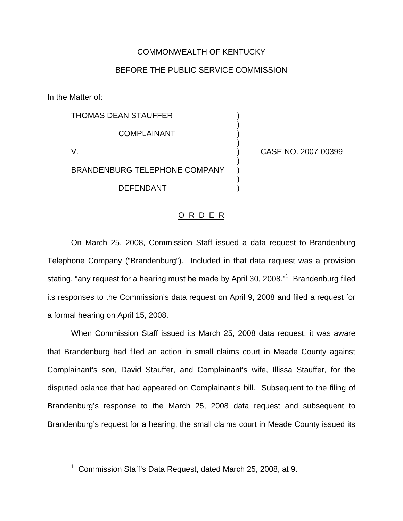## COMMONWEALTH OF KENTUCKY

## BEFORE THE PUBLIC SERVICE COMMISSION

)

)

)

)

In the Matter of:

THOMAS DEAN STAUFFER ) **COMPLAINANT** V. ) CASE NO. 2007-00399 BRANDENBURG TELEPHONE COMPANY DEFENDANT )

## O R D E R

On March 25, 2008, Commission Staff issued a data request to Brandenburg Telephone Company ("Brandenburg"). Included in that data request was a provision stating, "any request for a hearing must be made by April 30, 2008."<sup>1</sup> Brandenburg filed its responses to the Commission's data request on April 9, 2008 and filed a request for a formal hearing on April 15, 2008.

When Commission Staff issued its March 25, 2008 data request, it was aware that Brandenburg had filed an action in small claims court in Meade County against Complainant's son, David Stauffer, and Complainant's wife, Illissa Stauffer, for the disputed balance that had appeared on Complainant's bill. Subsequent to the filing of Brandenburg's response to the March 25, 2008 data request and subsequent to Brandenburg's request for a hearing, the small claims court in Meade County issued its

<sup>1</sup> Commission Staff's Data Request, dated March 25, 2008, at 9.